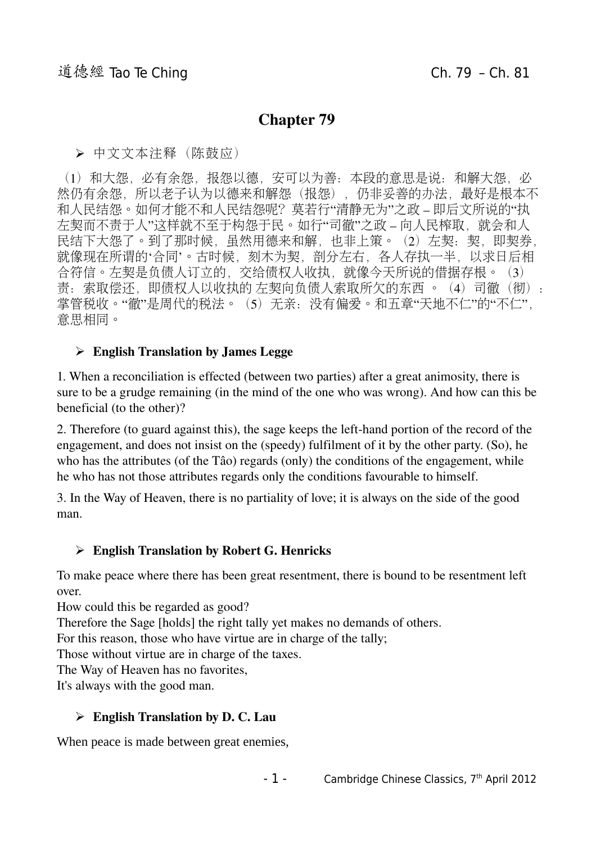## Chapter 79

➢ 中文文本注释(陈鼓应)

(1) 和大怨,必有余怨,报怨以德,安可以为善:本段的意思是说: 和解大怨, 必 然仍有余怨,所以老子认为以德来和解怨(报怨),仍非妥善的办法,最好是根本不 和人民结怨。如何才能不和人民结怨呢? 莫若行"清静无为"之政 – 即后文所说的"执 左契而不责于人"这样就不至于构怨于民。如行"司徹"之政 – 向人民榨取, 就会和人 民结下大怨了。到了那时候,虽然用德来和解,也非上策。(2)左契:契,即契券, 就像现在所谓的'合同'。古时候,刻木为契,剖分左右,各人存执一半,以求日后相 合符信。左契是负债人订立的,交给债权人收执,就像今天所说的借据存根。(3) 责:索取偿还,即债权人以收执的 左契向负债人索取所欠的东西 。(4)司徹(彻): 掌管税收。"徹"是周代的税法。(5)无亲:没有偏爱。和五章"天地不仁"的"不仁", 意思相同。

### $\triangleright$  English Translation by James Legge

1. When a reconciliation is effected (between two parties) after a great animosity, there is sure to be a grudge remaining (in the mind of the one who was wrong). And how can this be beneficial (to the other)?

2. Therefore (to guard against this), the sage keeps the left-hand portion of the record of the engagement, and does not insist on the (speedy) fulfilment of it by the other party. (So), he who has the attributes (of the Tâo) regards (only) the conditions of the engagement, while he who has not those attributes regards only the conditions favourable to himself.

3. In the Way of Heaven, there is no partiality of love; it is always on the side of the good man.

#### $\triangleright$  English Translation by Robert G. Henricks

To make peace where there has been great resentment, there is bound to be resentment left over.

How could this be regarded as good?

Therefore the Sage [holds] the right tally yet makes no demands of others.

For this reason, those who have virtue are in charge of the tally;

Those without virtue are in charge of the taxes.

The Way of Heaven has no favorites,

It's always with the good man.

#### $\triangleright$  English Translation by D. C. Lau

When peace is made between great enemies,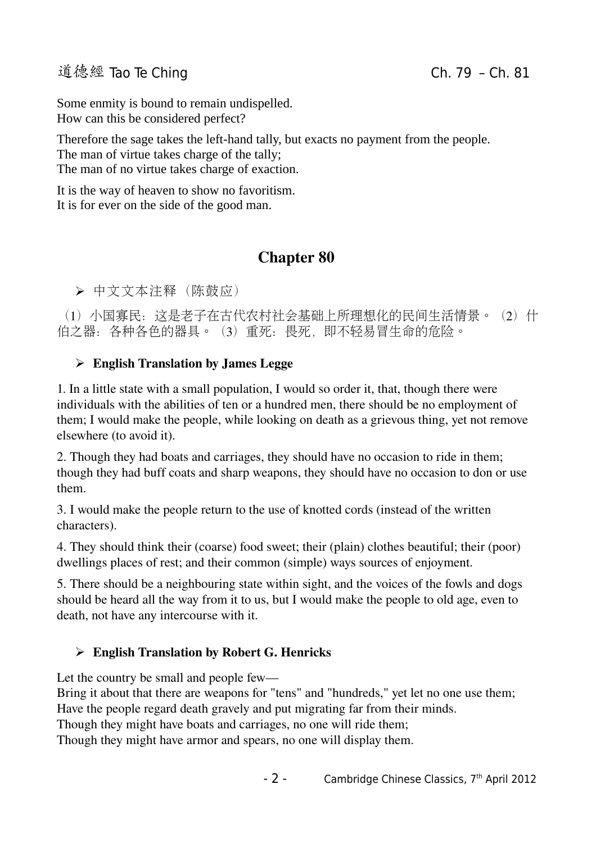# 道德經 Tao Te Ching Change Change Ching Ch. 79 – Ch. 81

Some enmity is bound to remain undispelled. How can this be considered perfect?

Therefore the sage takes the left-hand tally, but exacts no payment from the people. The man of virtue takes charge of the tally; The man of no virtue takes charge of exaction.

It is the way of heaven to show no favoritism. It is for ever on the side of the good man.

# Chapter 80

➢ 中文文本注释(陈鼓应)

(1)小国寡民:这是老子在古代农村社会基础上所理想化的民间生活情景。(2)什 伯之器:各种各色的器具。(3)重死:畏死,即不轻易冒生命的危险。

## $\triangleright$  English Translation by James Legge

1. In a little state with a small population, I would so order it, that, though there were individuals with the abilities of ten or a hundred men, there should be no employment of them; I would make the people, while looking on death as a grievous thing, yet not remove elsewhere (to avoid it).

2. Though they had boats and carriages, they should have no occasion to ride in them; though they had buff coats and sharp weapons, they should have no occasion to don or use them.

3. I would make the people return to the use of knotted cords (instead of the written characters).

4. They should think their (coarse) food sweet; their (plain) clothes beautiful; their (poor) dwellings places of rest; and their common (simple) ways sources of enjoyment.

5. There should be a neighbouring state within sight, and the voices of the fowls and dogs should be heard all the way from it to us, but I would make the people to old age, even to death, not have any intercourse with it.

## ➢ English Translation by Robert G. Henricks

Let the country be small and people few—

Bring it about that there are weapons for "tens" and "hundreds," yet let no one use them; Have the people regard death gravely and put migrating far from their minds.

Though they might have boats and carriages, no one will ride them;

Though they might have armor and spears, no one will display them.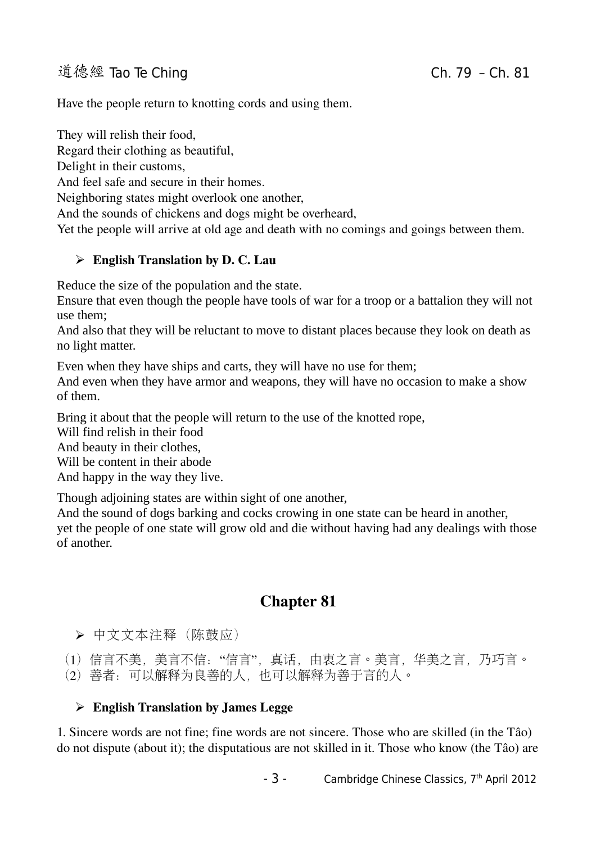# 道德經 Tao Te Ching Change Change Ching Ch. 79 – Ch. 81

Have the people return to knotting cords and using them.

They will relish their food,

Regard their clothing as beautiful,

Delight in their customs,

And feel safe and secure in their homes.

Neighboring states might overlook one another,

And the sounds of chickens and dogs might be overheard,

Yet the people will arrive at old age and death with no comings and goings between them.

#### $\triangleright$  English Translation by D. C. Lau

Reduce the size of the population and the state.

Ensure that even though the people have tools of war for a troop or a battalion they will not use them;

And also that they will be reluctant to move to distant places because they look on death as no light matter.

Even when they have ships and carts, they will have no use for them;

And even when they have armor and weapons, they will have no occasion to make a show of them.

Bring it about that the people will return to the use of the knotted rope,

Will find relish in their food

And beauty in their clothes,

Will be content in their abode

And happy in the way they live.

Though adjoining states are within sight of one another,

And the sound of dogs barking and cocks crowing in one state can be heard in another, yet the people of one state will grow old and die without having had any dealings with those of another.

# Chapter 81

➢ 中文文本注释(陈鼓应)

(1) 信言不美, 美言不信: "信言", 真话, 由衷之言。美言, 华美之言, 乃巧言。 (2)善者:可以解释为良善的人,也可以解释为善于言的人。

### ➢ English Translation by James Legge

1. Sincere words are not fine; fine words are not sincere. Those who are skilled (in the Tâo) do not dispute (about it); the disputatious are not skilled in it. Those who know (the Tâo) are

 $-$  3 - Cambridge Chinese Classics,  $7<sup>th</sup>$  April 2012